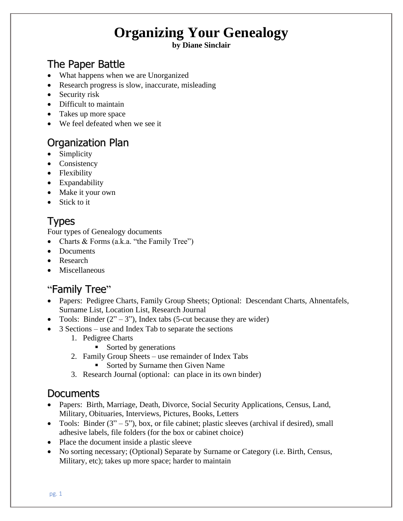#### **by Diane Sinclair**

### The Paper Battle

- What happens when we are Unorganized
- Research progress is slow, inaccurate, misleading
- Security risk
- Difficult to maintain
- Takes up more space
- We feel defeated when we see it

## Organization Plan

- Simplicity
- Consistency
- Flexibility
- Expandability
- Make it your own
- Stick to it

## Types

Four types of Genealogy documents

- Charts & Forms (a.k.a. "the Family Tree")
- Documents
- Research
- Miscellaneous

## "Family Tree"

- Papers: Pedigree Charts, Family Group Sheets; Optional: Descendant Charts, Ahnentafels, Surname List, Location List, Research Journal
- Tools: Binder  $(2<sup>n</sup> 3<sup>n</sup>)$ , Index tabs (5-cut because they are wider)
- 3 Sections use and Index Tab to separate the sections
	- 1. Pedigree Charts
		- Sorted by generations
	- 2. Family Group Sheets use remainder of Index Tabs
		- Sorted by Surname then Given Name
	- 3. Research Journal (optional: can place in its own binder)

### **Documents**

- Papers: Birth, Marriage, Death, Divorce, Social Security Applications, Census, Land, Military, Obituaries, Interviews, Pictures, Books, Letters
- Tools: Binder  $(3<sup>n</sup> 5<sup>n</sup>)$ , box, or file cabinet; plastic sleeves (archival if desired), small adhesive labels, file folders (for the box or cabinet choice)
- Place the document inside a plastic sleeve
- No sorting necessary; (Optional) Separate by Surname or Category (i.e. Birth, Census, Military, etc); takes up more space; harder to maintain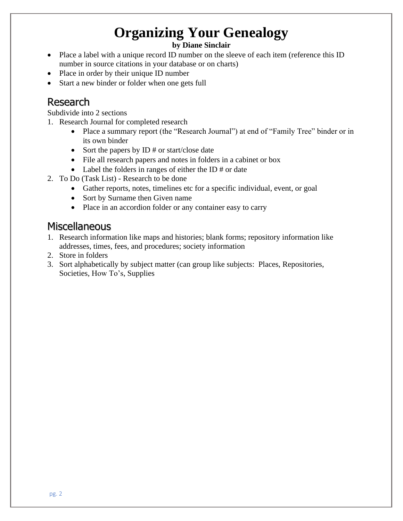#### **by Diane Sinclair**

- Place a label with a unique record ID number on the sleeve of each item (reference this ID number in source citations in your database or on charts)
- Place in order by their unique ID number
- Start a new binder or folder when one gets full

### Research

Subdivide into 2 sections

- 1. Research Journal for completed research
	- Place a summary report (the "Research Journal") at end of "Family Tree" binder or in its own binder
	- Sort the papers by ID # or start/close date
	- File all research papers and notes in folders in a cabinet or box
	- Label the folders in ranges of either the ID # or date
- 2. To Do (Task List) Research to be done
	- Gather reports, notes, timelines etc for a specific individual, event, or goal
	- Sort by Surname then Given name
	- Place in an accordion folder or any container easy to carry

### **Miscellaneous**

- 1. Research information like maps and histories; blank forms; repository information like addresses, times, fees, and procedures; society information
- 2. Store in folders
- 3. Sort alphabetically by subject matter (can group like subjects: Places, Repositories, Societies, How To's, Supplies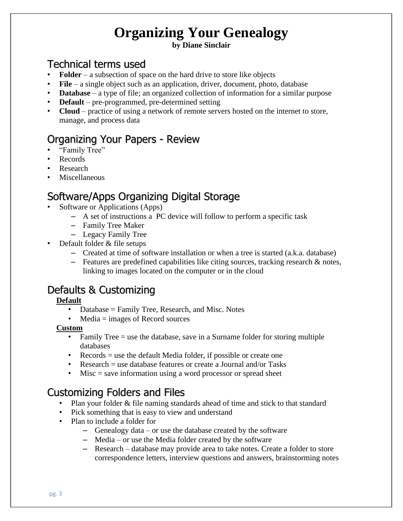#### **by Diane Sinclair**

### Technical terms used

- **Folder** a subsection of space on the hard drive to store like objects
- **File** a single object such as an application, driver, document, photo, database
- **Database** a type of file; an organized collection of information for a similar purpose
- **Default** pre-programmed, pre-determined setting
- **Cloud** practice of using a network of remote servers hosted on the internet to store, manage, and process data

## Organizing Your Papers - Review

- "Family Tree"
- Records
- Research
- Miscellaneous

## Software/Apps Organizing Digital Storage

- Software or Applications (Apps)
	- A set of instructions a PC device will follow to perform a specific task
	- Family Tree Maker
	- Legacy Family Tree
- Default folder & file setups
	- Created at time of software installation or when a tree is started (a.k.a. database)
	- $-$  Features are predefined capabilities like citing sources, tracking research  $\&$  notes, linking to images located on the computer or in the cloud

## Defaults & Customizing

#### **Default**

- Database = Family Tree, Research, and Misc. Notes
- Media = images of Record sources

#### **Custom**

- Family Tree = use the database, save in a Surname folder for storing multiple databases
- Records = use the default Media folder, if possible or create one
- Research = use database features or create a Journal and/or Tasks
- $Misc = save information using a word processor or spread sheet$

### Customizing Folders and Files

- Plan your folder & file naming standards ahead of time and stick to that standard
- Pick something that is easy to view and understand
- Plan to include a folder for
	- Genealogy data or use the database created by the software
	- Media or use the Media folder created by the software
	- Research database may provide area to take notes. Create a folder to store correspondence letters, interview questions and answers, brainstorming notes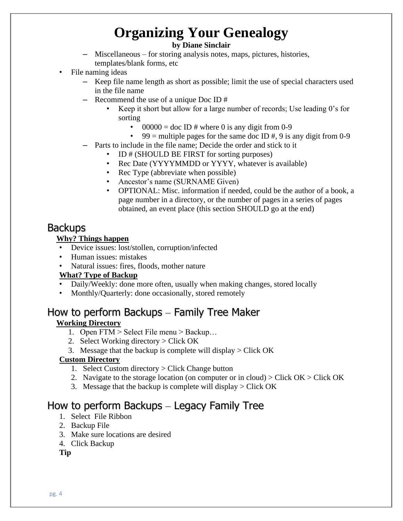#### **by Diane Sinclair**

- Miscellaneous for storing analysis notes, maps, pictures, histories, templates/blank forms, etc
- File naming ideas
	- Keep file name length as short as possible; limit the use of special characters used in the file name
	- Recommend the use of a unique Doc ID #
		- Keep it short but allow for a large number of records; Use leading 0's for sorting
			- 00000 = doc ID # where 0 is any digit from 0-9
			- 99 = multiple pages for the same doc ID #, 9 is any digit from 0-9
	- Parts to include in the file name; Decide the order and stick to it
		- ID # (SHOULD BE FIRST for sorting purposes)
		- Rec Date (YYYYMMDD or YYYY, whatever is available)
		- Rec Type (abbreviate when possible)
		- Ancestor's name (SURNAME Given)
		- OPTIONAL: Misc. information if needed, could be the author of a book, a page number in a directory, or the number of pages in a series of pages obtained, an event place (this section SHOULD go at the end)

### **Backups**

#### **Why? Things happen**

- Device issues: lost/stollen, corruption/infected
- Human issues: mistakes
- Natural issues: fires, floods, mother nature

#### **What? Type of Backup**

- Daily/Weekly: done more often, usually when making changes, stored locally
- Monthly/Quarterly: done occasionally, stored remotely

### How to perform Backups – Family Tree Maker

#### **Working Directory**

- 1. Open FTM > Select File menu > Backup…
- 2. Select Working directory > Click OK
- 3. Message that the backup is complete will display  $>$  Click OK

#### **Custom Directory**

- 1. Select Custom directory > Click Change button
- 2. Navigate to the storage location (on computer or in cloud)  $>$  Click OK  $>$  Click OK
- 3. Message that the backup is complete will display  $>$  Click OK

### How to perform Backups – Legacy Family Tree

- 1. Select File Ribbon
- 2. Backup File
- 3. Make sure locations are desired
- 4. Click Backup

**Tip**